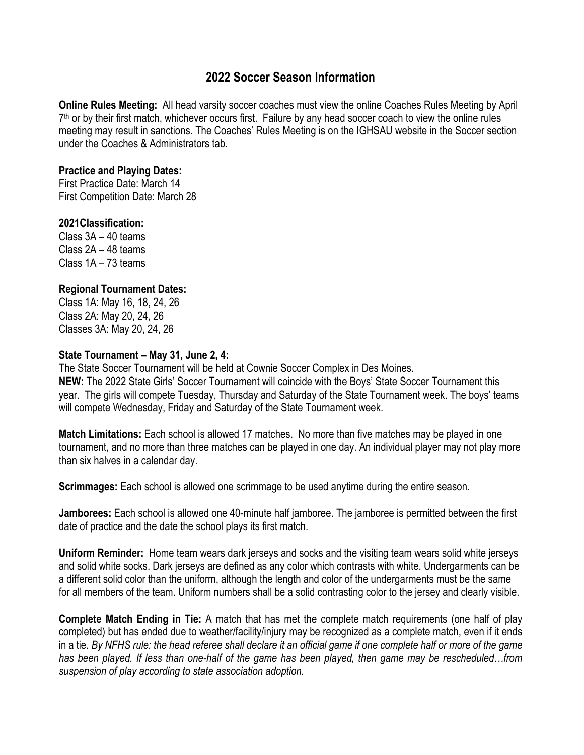# **2022 Soccer Season Information**

**Online Rules Meeting:** All head varsity soccer coaches must view the online Coaches Rules Meeting by April  $7<sup>th</sup>$  or by their first match, whichever occurs first. Failure by any head soccer coach to view the online rules meeting may result in sanctions. The Coaches' Rules Meeting is on the IGHSAU website in the Soccer section under the Coaches & Administrators tab.

#### **Practice and Playing Dates:**

First Practice Date: March 14 First Competition Date: March 28

## **2021Classification:**

Class 3A – 40 teams Class 2A – 48 teams Class 1A – 73 teams

## **Regional Tournament Dates:**

Class 1A: May 16, 18, 24, 26 Class 2A: May 20, 24, 26 Classes 3A: May 20, 24, 26

## **State Tournament – May 31, June 2, 4:**

The State Soccer Tournament will be held at Cownie Soccer Complex in Des Moines. **NEW:** The 2022 State Girls' Soccer Tournament will coincide with the Boys' State Soccer Tournament this year. The girls will compete Tuesday, Thursday and Saturday of the State Tournament week. The boys' teams will compete Wednesday, Friday and Saturday of the State Tournament week.

**Match Limitations:** Each school is allowed 17 matches. No more than five matches may be played in one tournament, and no more than three matches can be played in one day. An individual player may not play more than six halves in a calendar day.

**Scrimmages:** Each school is allowed one scrimmage to be used anytime during the entire season.

**Jamborees:** Each school is allowed one 40-minute half jamboree. The jamboree is permitted between the first date of practice and the date the school plays its first match.

**Uniform Reminder:** Home team wears dark jerseys and socks and the visiting team wears solid white jerseys and solid white socks. Dark jerseys are defined as any color which contrasts with white. Undergarments can be a different solid color than the uniform, although the length and color of the undergarments must be the same for all members of the team. Uniform numbers shall be a solid contrasting color to the jersey and clearly visible.

**Complete Match Ending in Tie:** A match that has met the complete match requirements (one half of play completed) but has ended due to weather/facility/injury may be recognized as a complete match, even if it ends in a tie. *By NFHS rule: the head referee shall declare it an official game if one complete half or more of the game has been played. If less than one-half of the game has been played, then game may be rescheduled…from suspension of play according to state association adoption.*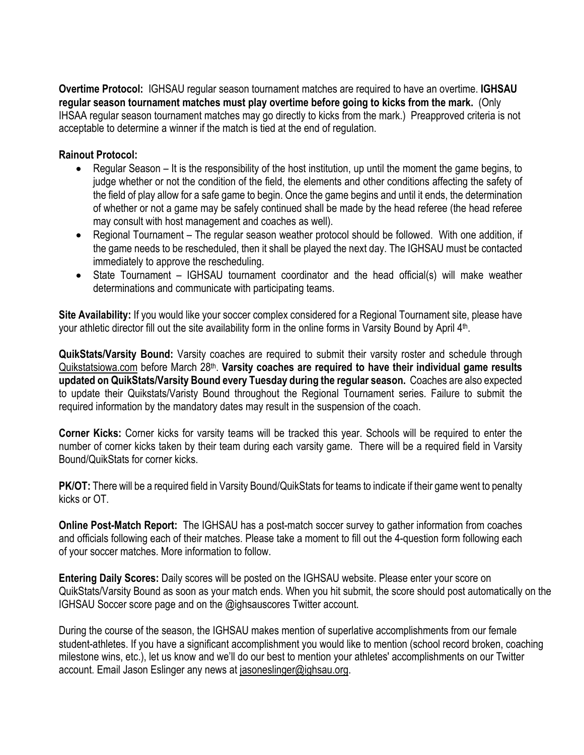**Overtime Protocol:** IGHSAU regular season tournament matches are required to have an overtime. **IGHSAU regular season tournament matches must play overtime before going to kicks from the mark.** (Only IHSAA regular season tournament matches may go directly to kicks from the mark.) Preapproved criteria is not acceptable to determine a winner if the match is tied at the end of regulation.

## **Rainout Protocol:**

- Regular Season It is the responsibility of the host institution, up until the moment the game begins, to judge whether or not the condition of the field, the elements and other conditions affecting the safety of the field of play allow for a safe game to begin. Once the game begins and until it ends, the determination of whether or not a game may be safely continued shall be made by the head referee (the head referee may consult with host management and coaches as well).
- Regional Tournament The regular season weather protocol should be followed. With one addition, if the game needs to be rescheduled, then it shall be played the next day. The IGHSAU must be contacted immediately to approve the rescheduling.
- State Tournament IGHSAU tournament coordinator and the head official(s) will make weather determinations and communicate with participating teams.

**Site Availability:** If you would like your soccer complex considered for a Regional Tournament site, please have your athletic director fill out the site availability form in the online forms in Varsity Bound by April 4th.

**QuikStats/Varsity Bound:** Varsity coaches are required to submit their varsity roster and schedule through Quikstatsiowa.com before March 28th. **Varsity coaches are required to have their individual game results updated on QuikStats/Varsity Bound every Tuesday during the regular season.** Coaches are also expected to update their Quikstats/Varisty Bound throughout the Regional Tournament series. Failure to submit the required information by the mandatory dates may result in the suspension of the coach.

**Corner Kicks:** Corner kicks for varsity teams will be tracked this year. Schools will be required to enter the number of corner kicks taken by their team during each varsity game. There will be a required field in Varsity Bound/QuikStats for corner kicks.

**PK/OT:** There will be a required field in Varsity Bound/QuikStats for teams to indicate if their game went to penalty kicks or OT.

**Online Post-Match Report:** The IGHSAU has a post-match soccer survey to gather information from coaches and officials following each of their matches. Please take a moment to fill out the 4-question form following each of your soccer matches. More information to follow.

**Entering Daily Scores:** Daily scores will be posted on the IGHSAU website. Please enter your score on QuikStats/Varsity Bound as soon as your match ends. When you hit submit, the score should post automatically on the IGHSAU Soccer score page and on the @ighsauscores Twitter account.

During the course of the season, the IGHSAU makes mention of superlative accomplishments from our female student-athletes. If you have a significant accomplishment you would like to mention (school record broken, coaching milestone wins, etc.), let us know and we'll do our best to mention your athletes' accomplishments on our Twitter account. Email Jason Eslinger any news at jasoneslinger@ighsau.org.